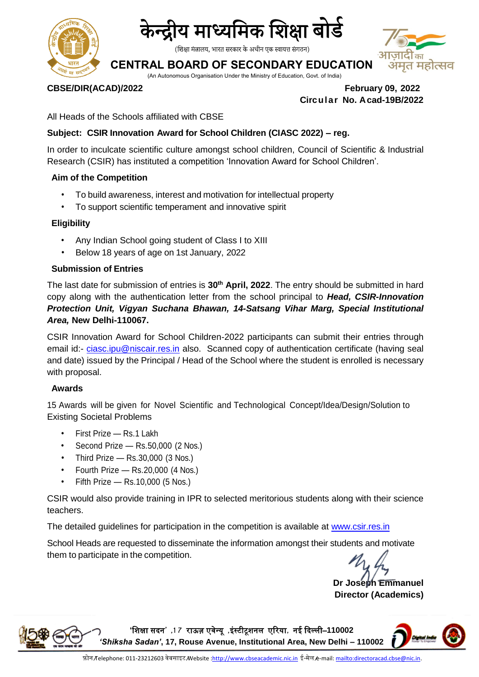



(शिक्षा मंत्रालय, भारत सरकार के अधीन एक स्वायत्त संगठन)

## **CENTRAL BOARD OF SECONDARY EDUCATION**

(An Autonomous Organisation Under the Ministry of Education, Govt. of India)

**CBSE/DIR(ACAD)/2022 February 09, 2022 Circular No. Acad-19B/2022**

All Heads of the Schools affiliated with CBSE

### **Subject: CSIR Innovation Award for School Children (CIASC 2022) – reg.**

In order to inculcate scientific culture amongst school children, Council of Scientific & Industrial Research (CSIR) has instituted a competition 'Innovation Award for School Children'.

#### **Aim of the Competition**

- To build awareness, interest and motivation for intellectual property
- To support scientific temperament and innovative spirit

#### **Eligibility**

- Any Indian School going student of Class I to XIII
- Below 18 years of age on 1st January, 2022

#### **Submission of Entries**

The last date for submission of entries is **30th April, 2022**. The entry should be submitted in hard copy along with the authentication letter from the school principal to *Head, CSIR-Innovation Protection Unit, Vigyan Suchana Bhawan, 14-Satsang Vihar Marg, Special Institutional Area,* **New Delhi-110067.**

CSIR Innovation Award for School Children-2022 participants can submit their entries through email id:- [ciasc.ipu@niscair.res.in](mailto:ciasc.ipu@niscair.res.in) also. Scanned copy of authentication certificate (having seal and date) issued by the Principal / Head of the School where the student is enrolled is necessary with proposal.

#### **Awards**

15 Awards will be given for Novel Scientific and Technological Concept/Idea/Design/Solution to Existing Societal Problems

- First Prize Rs.1 Lakh
- Second Prize Rs.50,000 (2 Nos.)
- Third Prize Rs.30,000 (3 Nos.)
- Fourth Prize Rs.20,000 (4 Nos.)
- Fifth Prize Rs.10,000 (5 Nos.)

CSIR would also provide training in IPR to selected meritorious students along with their science teachers.

The detailed guidelines for participation in the competition is available at www.csir.res.in

School Heads are requested to disseminate the information amongst their students and motivate them to participate in the competition.

**Dr Joseph Emmanuel Director (Academics)**

**'**शिक्षा सदन**' ,1 7** राऊज़ एवेन्यू **,**इंस्टीटूिनल एररया**,** नई ददल्ली–**110002**  *'Shiksha Sadan'***, 17, Rouse Avenue, Institutional Area, New Delhi – 110002**